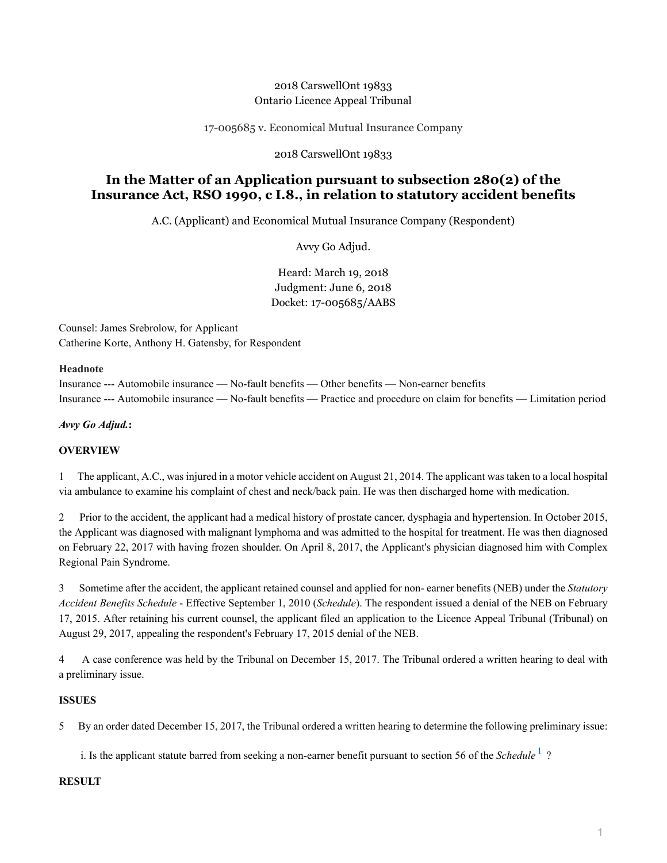## 2018 CarswellOnt 19833 Ontario Licence Appeal Tribunal

17-005685 v. Economical Mutual Insurance Company

### 2018 CarswellOnt 19833

# **In the Matter of an Application pursuant to subsection 280(2) of the Insurance Act, RSO 1990, c I.8., in relation to statutory accident benefits**

A.C. (Applicant) and Economical Mutual Insurance Company (Respondent)

Avvy Go Adjud.

Heard: March 19, 2018 Judgment: June 6, 2018 Docket: 17-005685/AABS

Counsel: James Srebrolow, for Applicant Catherine Korte, Anthony H. Gatensby, for Respondent

#### **Headnote**

Insurance --- Automobile insurance — No-fault benefits — Other benefits — Non-earner benefits Insurance --- Automobile insurance — No-fault benefits — Practice and procedure on claim for benefits — Limitation period

*Avvy Go Adjud.***:**

### **OVERVIEW**

1 The applicant, A.C., was injured in a motor vehicle accident on August 21, 2014. The applicant was taken to a local hospital via ambulance to examine his complaint of chest and neck/back pain. He was then discharged home with medication.

2 Prior to the accident, the applicant had a medical history of prostate cancer, dysphagia and hypertension. In October 2015, the Applicant was diagnosed with malignant lymphoma and was admitted to the hospital for treatment. He was then diagnosed on February 22, 2017 with having frozen shoulder. On April 8, 2017, the Applicant's physician diagnosed him with Complex Regional Pain Syndrome.

3 Sometime after the accident, the applicant retained counsel and applied for non- earner benefits (NEB) under the *Statutory Accident Benefits Schedule* - Effective September 1, 2010 (*Schedule*). The respondent issued a denial of the NEB on February 17, 2015. After retaining his current counsel, the applicant filed an application to the Licence Appeal Tribunal (Tribunal) on August 29, 2017, appealing the respondent's February 17, 2015 denial of the NEB.

4 A case conference was held by the Tribunal on December 15, 2017. The Tribunal ordered a written hearing to deal with a preliminary issue.

### **ISSUES**

5 By an order dated December 15, 2017, the Tribunal ordered a written hearing to determine the following preliminary issue:

<span id="page-0-0"></span>i. Is the applicant statute barred from seeking a non-earner benefit pursuant to section 56 of the *Schedule*<sup>[1](#page-2-0)</sup>?

#### **RESULT**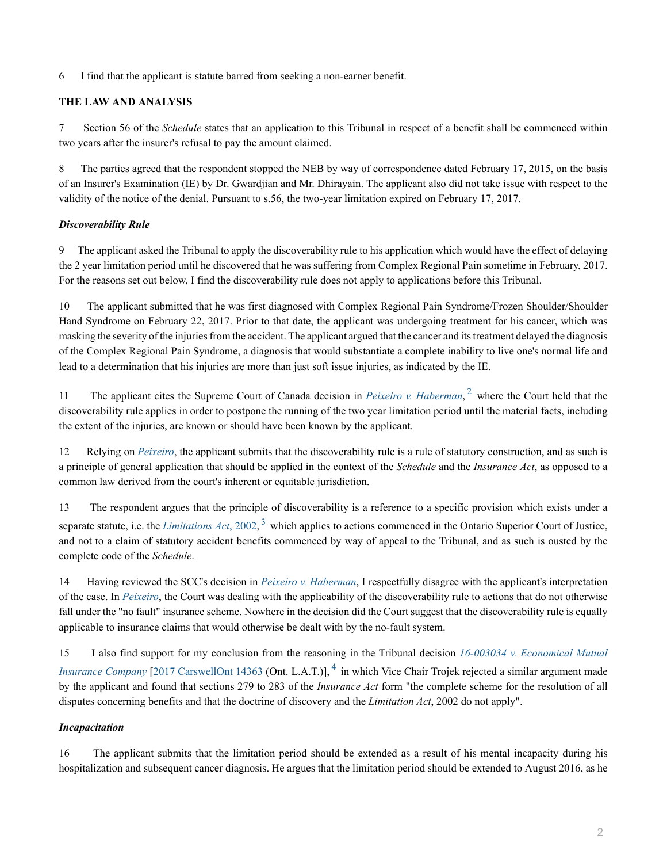6 I find that the applicant is statute barred from seeking a non-earner benefit.

## **THE LAW AND ANALYSIS**

7 Section 56 of the *Schedule* states that an application to this Tribunal in respect of a benefit shall be commenced within two years after the insurer's refusal to pay the amount claimed.

8 The parties agreed that the respondent stopped the NEB by way of correspondence dated February 17, 2015, on the basis of an Insurer's Examination (IE) by Dr. Gwardjian and Mr. Dhirayain. The applicant also did not take issue with respect to the validity of the notice of the denial. Pursuant to s.56, the two-year limitation expired on February 17, 2017.

### *Discoverability Rule*

9 The applicant asked the Tribunal to apply the discoverability rule to his application which would have the effect of delaying the 2 year limitation period until he discovered that he was suffering from Complex Regional Pain sometime in February, 2017. For the reasons set out below, I find the discoverability rule does not apply to applications before this Tribunal.

10 The applicant submitted that he was first diagnosed with Complex Regional Pain Syndrome/Frozen Shoulder/Shoulder Hand Syndrome on February 22, 2017. Prior to that date, the applicant was undergoing treatment for his cancer, which was masking the severity of the injuries from the accident. The applicant argued that the cancer and its treatment delayed the diagnosis of the Complex Regional Pain Syndrome, a diagnosis that would substantiate a complete inability to live one's normal life and lead to a determination that his injuries are more than just soft issue injuries, as indicated by the IE.

<span id="page-1-0"></span>11 The applicant cites the Supreme Court of Canada decision in *[Peixeiro v. Haberman](http://nextcanada.westlaw.com/Link/Document/FullText?findType=Y&pubNum=6407&serNum=1997417454&originationContext=document&transitionType=DocumentItem&vr=3.0&rs=cblt1.0&contextData=(sc.Search))*,<sup>[2](#page-3-0)</sup> where the Court held that the discoverability rule applies in order to postpone the running of the two year limitation period until the material facts, including the extent of the injuries, are known or should have been known by the applicant.

12 Relying on *[Peixeiro](http://nextcanada.westlaw.com/Link/Document/FullText?findType=Y&pubNum=6407&serNum=1997417454&originationContext=document&transitionType=DocumentItem&vr=3.0&rs=cblt1.0&contextData=(sc.Search))*, the applicant submits that the discoverability rule is a rule of statutory construction, and as such is a principle of general application that should be applied in the context of the *Schedule* and the *Insurance Act*, as opposed to a common law derived from the court's inherent or equitable jurisdiction.

<span id="page-1-1"></span>13 The respondent argues that the principle of discoverability is a reference to a specific provision which exists under a separate statute, i.e. the *[Limitations Act](http://nextcanada.westlaw.com/Link/Document/FullText?findType=Y&serNum=0293160965&pubNum=135310&originatingDoc=I7bc2f9a77fa07105e0540010e03eefe2&refType=IG&docFamilyGuid=I82780d4bf51e11d99f28ffa0ae8c2575&targetPreference=DocLanguage%3aEN&originationContext=document&vr=3.0&rs=cblt1.0&transitionType=DocumentItem&contextData=(sc.Search))*, 2002,<sup>[3](#page-3-1)</sup> which applies to actions commenced in the Ontario Superior Court of Justice, and not to a claim of statutory accident benefits commenced by way of appeal to the Tribunal, and as such is ousted by the complete code of the *Schedule*.

14 Having reviewed the SCC's decision in *[Peixeiro v. Haberman](http://nextcanada.westlaw.com/Link/Document/FullText?findType=Y&pubNum=6407&serNum=1997417454&originationContext=document&transitionType=DocumentItem&vr=3.0&rs=cblt1.0&contextData=(sc.Search))*, I respectfully disagree with the applicant's interpretation of the case. In *[Peixeiro](http://nextcanada.westlaw.com/Link/Document/FullText?findType=Y&pubNum=6407&serNum=1997417454&originationContext=document&transitionType=DocumentItem&vr=3.0&rs=cblt1.0&contextData=(sc.Search))*, the Court was dealing with the applicability of the discoverability rule to actions that do not otherwise fall under the "no fault" insurance scheme. Nowhere in the decision did the Court suggest that the discoverability rule is equally applicable to insurance claims that would otherwise be dealt with by the no-fault system.

<span id="page-1-2"></span>15 I also find support for my conclusion from the reasoning in the Tribunal decision *[16-003034 v. Economical Mutual](http://nextcanada.westlaw.com/Link/Document/FullText?findType=Y&pubNum=6407&serNum=2042611585&originationContext=document&transitionType=DocumentItem&vr=3.0&rs=cblt1.0&contextData=(sc.Search)) [Insurance Company](http://nextcanada.westlaw.com/Link/Document/FullText?findType=Y&pubNum=6407&serNum=2042611585&originationContext=document&transitionType=DocumentItem&vr=3.0&rs=cblt1.0&contextData=(sc.Search))* [[2017 CarswellOnt 14363](http://nextcanada.westlaw.com/Link/Document/FullText?findType=Y&pubNum=6407&serNum=2042611585&originationContext=document&transitionType=DocumentItem&vr=3.0&rs=cblt1.0&contextData=(sc.Search)) (Ont. L.A.T.)], <sup>[4](#page-3-2)</sup> in which Vice Chair Trojek rejected a similar argument made by the applicant and found that sections 279 to 283 of the *Insurance Act* form "the complete scheme for the resolution of all disputes concerning benefits and that the doctrine of discovery and the *Limitation Act*, 2002 do not apply".

### *Incapacitation*

16 The applicant submits that the limitation period should be extended as a result of his mental incapacity during his hospitalization and subsequent cancer diagnosis. He argues that the limitation period should be extended to August 2016, as he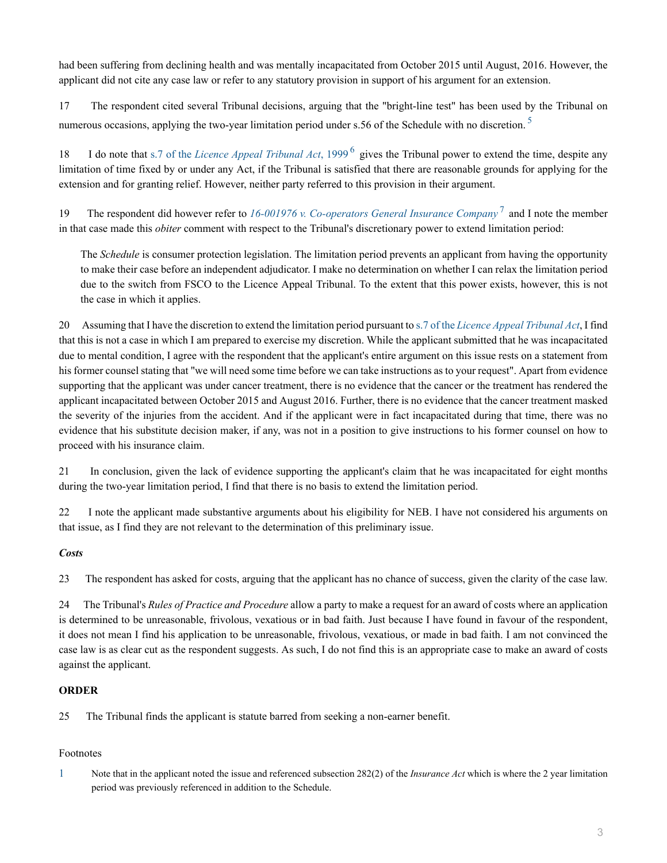had been suffering from declining health and was mentally incapacitated from October 2015 until August, 2016. However, the applicant did not cite any case law or refer to any statutory provision in support of his argument for an extension.

17 The respondent cited several Tribunal decisions, arguing that the "bright-line test" has been used by the Tribunal on numerous occasions, applying the two-year limitation period under s.[5](#page-3-3)6 of the Schedule with no discretion.<sup>5</sup>

18 I do note that s.7 of the *[Licence Appeal Tribunal Act](http://nextcanada.westlaw.com/Link/Document/FullText?findType=Y&serNum=0280719054&pubNum=135310&originatingDoc=I7bc2f9a77fa07105e0540010e03eefe2&refType=IG&docFamilyGuid=I12f9186df4db11d99f28ffa0ae8c2575&targetPreference=DocLanguage%3aEN&originationContext=document&vr=3.0&rs=cblt1.0&transitionType=DocumentItem&contextData=(sc.Search))*, 1999<sup>[6](#page-3-4)</sup> gives the Tribunal power to extend the time, despite any limitation of time fixed by or under any Act, if the Tribunal is satisfied that there are reasonable grounds for applying for the extension and for granting relief. However, neither party referred to this provision in their argument.

19 The respondent did however refer to [16-001976 v. Co-operators General Insurance Company](http://nextcanada.westlaw.com/Link/Document/FullText?findType=Y&pubNum=6407&serNum=2041421413&originationContext=document&transitionType=DocumentItem&vr=3.0&rs=cblt1.0&contextData=(sc.Search))<sup>[7](#page-3-5)</sup> and I note the member in that case made this *obiter* comment with respect to the Tribunal's discretionary power to extend limitation period:

<span id="page-2-3"></span><span id="page-2-2"></span><span id="page-2-1"></span>The *Schedule* is consumer protection legislation. The limitation period prevents an applicant from having the opportunity to make their case before an independent adjudicator. I make no determination on whether I can relax the limitation period due to the switch from FSCO to the Licence Appeal Tribunal. To the extent that this power exists, however, this is not the case in which it applies.

20 Assuming that I have the discretion to extend the limitation period pursuant to s.7 of the *[Licence Appeal Tribunal Act](http://nextcanada.westlaw.com/Link/Document/FullText?findType=Y&serNum=0280719054&pubNum=135310&originatingDoc=I7bc2f9a77fa07105e0540010e03eefe2&refType=IG&docFamilyGuid=I12f9186df4db11d99f28ffa0ae8c2575&targetPreference=DocLanguage%3aEN&originationContext=document&vr=3.0&rs=cblt1.0&transitionType=DocumentItem&contextData=(sc.Search))*, I find that this is not a case in which I am prepared to exercise my discretion. While the applicant submitted that he was incapacitated due to mental condition, I agree with the respondent that the applicant's entire argument on this issue rests on a statement from his former counsel stating that "we will need some time before we can take instructions as to your request". Apart from evidence supporting that the applicant was under cancer treatment, there is no evidence that the cancer or the treatment has rendered the applicant incapacitated between October 2015 and August 2016. Further, there is no evidence that the cancer treatment masked the severity of the injuries from the accident. And if the applicant were in fact incapacitated during that time, there was no evidence that his substitute decision maker, if any, was not in a position to give instructions to his former counsel on how to proceed with his insurance claim.

21 In conclusion, given the lack of evidence supporting the applicant's claim that he was incapacitated for eight months during the two-year limitation period, I find that there is no basis to extend the limitation period.

22 I note the applicant made substantive arguments about his eligibility for NEB. I have not considered his arguments on that issue, as I find they are not relevant to the determination of this preliminary issue.

### *Costs*

23 The respondent has asked for costs, arguing that the applicant has no chance of success, given the clarity of the case law.

24 The Tribunal's *Rules of Practice and Procedure* allow a party to make a request for an award of costs where an application is determined to be unreasonable, frivolous, vexatious or in bad faith. Just because I have found in favour of the respondent, it does not mean I find his application to be unreasonable, frivolous, vexatious, or made in bad faith. I am not convinced the case law is as clear cut as the respondent suggests. As such, I do not find this is an appropriate case to make an award of costs against the applicant.

### **ORDER**

25 The Tribunal finds the applicant is statute barred from seeking a non-earner benefit.

## Footnotes

<span id="page-2-0"></span>[1](#page-0-0) Note that in the applicant noted the issue and referenced subsection 282(2) of the *Insurance Act* which is where the 2 year limitation period was previously referenced in addition to the Schedule.